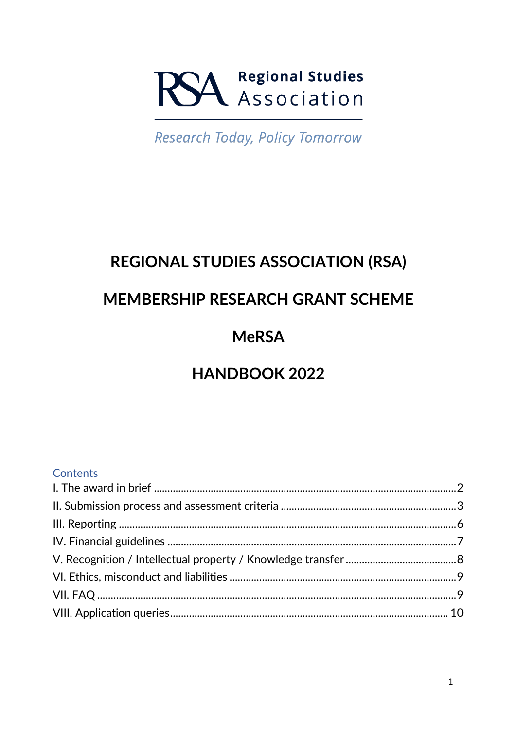# **SA Regional Studies**

**Research Today, Policy Tomorrow** 

## **REGIONAL STUDIES ASSOCIATION (RSA)**

### **MEMBERSHIP RESEARCH GRANT SCHEME**

## **MeRSA**

## **HANDBOOK 2022**

#### **Contents**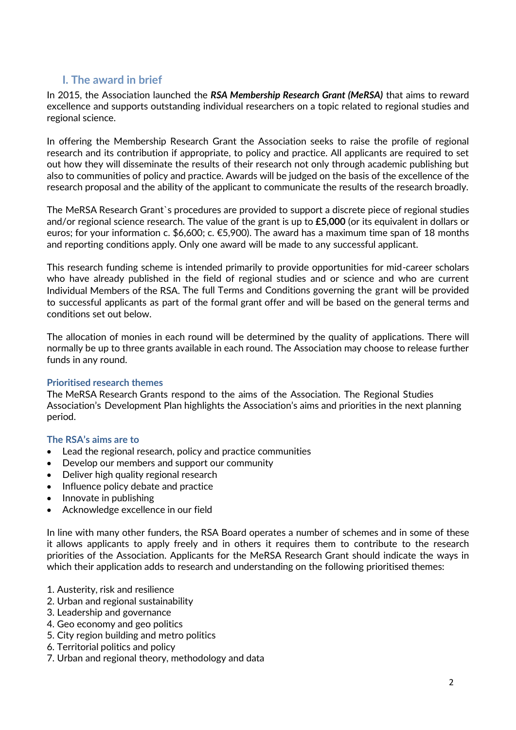#### <span id="page-1-0"></span>**I. The award in brief**

In 2015, the Association launched the *RSA Membership Research Grant (MeRSA)* that aims to reward excellence and supports outstanding individual researchers on a topic related to regional studies and regional science.

In offering the Membership Research Grant the Association seeks to raise the profile of regional research and its contribution if appropriate, to policy and practice. All applicants are required to set out how they will disseminate the results of their research not only through academic publishing but also to communities of policy and practice. Awards will be judged on the basis of the excellence of the research proposal and the ability of the applicant to communicate the results of the research broadly.

The MeRSA Research Grant`s procedures are provided to support a discrete piece of regional studies and/or regional science research. The value of the grant is up to **£5,000** (or its equivalent in dollars or euros; for your information c. \$6,600; c. €5,900). The award has a maximum time span of 18 months and reporting conditions apply. Only one award will be made to any successful applicant.

This research funding scheme is intended primarily to provide opportunities for mid-career scholars who have already published in the field of regional studies and or science and who are current Individual Members of the RSA. The full Terms and Conditions governing the grant will be provided to successful applicants as part of the formal grant offer and will be based on the general terms and conditions set out below.

The allocation of monies in each round will be determined by the quality of applications. There will normally be up to three grants available in each round. The Association may choose to release further funds in any round.

#### **Prioritised research themes**

The MeRSA Research Grants respond to the aims of the Association. The Regional Studies Association's Development Plan highlights the Association's aims and priorities in the next planning period.

#### **The RSA's aims are to**

- Lead the regional research, policy and practice communities
- Develop our members and support our community
- Deliver high quality regional research
- Influence policy debate and practice
- Innovate in publishing
- Acknowledge excellence in our field

In line with many other funders, the RSA Board operates a number of schemes and in some of these it allows applicants to apply freely and in others it requires them to contribute to the research priorities of the Association. Applicants for the MeRSA Research Grant should indicate the ways in which their application adds to research and understanding on the following prioritised themes:

- 1. Austerity, risk and resilience
- 2. Urban and regional sustainability
- 3. Leadership and governance
- 4. Geo economy and geo politics
- 5. City region building and metro politics
- 6. Territorial politics and policy
- 7. Urban and regional theory, methodology and data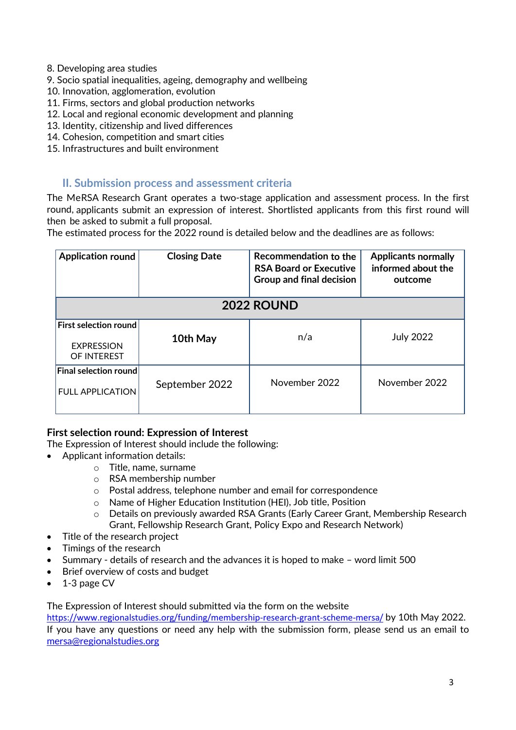- 8. Developing area studies
- 9. Socio spatial inequalities, ageing, demography and wellbeing
- 10. Innovation, agglomeration, evolution
- 11. Firms, sectors and global production networks
- 12. Local and regional economic development and planning
- 13. Identity, citizenship and lived differences
- 14. Cohesion, competition and smart cities
- 15. Infrastructures and built environment

#### <span id="page-2-0"></span>**II. Submission process and assessment criteria**

The MeRSA Research Grant operates a two-stage application and assessment process. In the first round, applicants submit an expression of interest. Shortlisted applicants from this first round will then be asked to submit a full proposal.

The estimated process for the 2022 round is detailed below and the deadlines are as follows:

| <b>Application round</b>                                         | <b>Closing Date</b> | Recommendation to the<br><b>RSA Board or Executive</b><br><b>Group and final decision</b> | <b>Applicants normally</b><br>informed about the<br>outcome |  |
|------------------------------------------------------------------|---------------------|-------------------------------------------------------------------------------------------|-------------------------------------------------------------|--|
| <b>2022 ROUND</b>                                                |                     |                                                                                           |                                                             |  |
| <b>First selection round</b><br><b>EXPRESSION</b><br>OF INTEREST | 10th May            | n/a                                                                                       | <b>July 2022</b>                                            |  |
| $ $ Final selection round $ $<br><b>FULL APPLICATION</b>         | September 2022      | November 2022                                                                             | November 2022                                               |  |

#### **First selection round: Expression of Interest**

The Expression of Interest should include the following:

- Applicant information details:
	- o Title, name, surname
	- o RSA membership number
	- o Postal address, telephone number and email for correspondence
	- o Name of Higher Education Institution (HEI), Job title, Position
	- o Details on previously awarded RSA Grants (Early Career Grant, Membership Research Grant, Fellowship Research Grant, Policy Expo and Research Network)
- Title of the research project
- Timings of the research
- Summary details of research and the advances it is hoped to make word limit 500
- Brief overview of costs and budget
- 1-3 page CV

The Expression of Interest should submitted via the form on the website

<https://www.regionalstudies.org/funding/membership-research-grant-scheme-mersa/> by 10th May 2022. If you have any questions or need any help with the submission form, please send us an email to [mersa@regionalstudies.org](mailto:mersa@regionalstudies.org)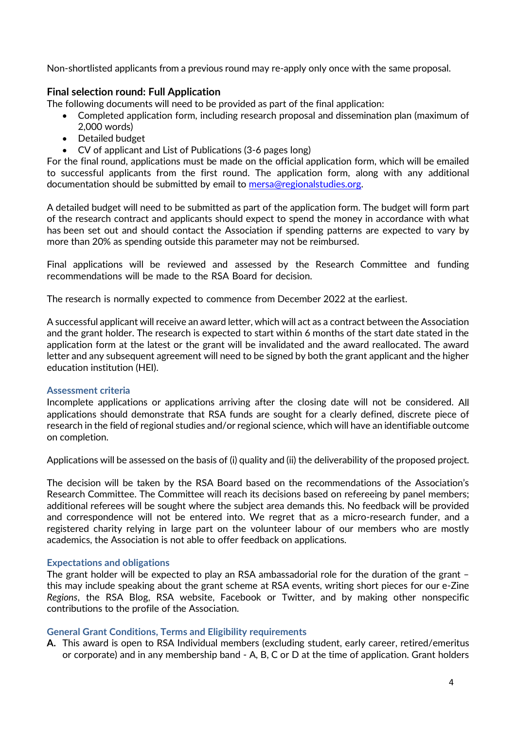Non-shortlisted applicants from a previous round may re-apply only once with the same proposal.

#### **Final selection round: Full Application**

The following documents will need to be provided as part of the final application:

- Completed application form, including research proposal and dissemination plan (maximum of 2,000 words)
- Detailed budget
- CV of applicant and List of Publications (3-6 pages long)

For the final round, applications must be made on the official application form, which will be emailed to successful applicants from the first round. The application form, along with any additional documentation should be submitted by email to [mersa@regionalstudies.org.](mailto:mersa@regionalstudies.org)

A detailed budget will need to be submitted as part of the application form. The budget will form part of the research contract and applicants should expect to spend the money in accordance with what has been set out and should contact the Association if spending patterns are expected to vary by more than 20% as spending outside this parameter may not be reimbursed.

Final applications will be reviewed and assessed by the Research Committee and funding recommendations will be made to the RSA Board for decision.

The research is normally expected to commence from December 2022 at the earliest.

A successful applicant will receive an award letter, which will act as a contract between the Association and the grant holder. The research is expected to start within 6 months of the start date stated in the application form at the latest or the grant will be invalidated and the award reallocated. The award letter and any subsequent agreement will need to be signed by both the grant applicant and the higher education institution (HEI).

#### **Assessment criteria**

Incomplete applications or applications arriving after the closing date will not be considered. All applications should demonstrate that RSA funds are sought for a clearly defined, discrete piece of research in the field of regional studies and/or regional science, which will have an identifiable outcome on completion.

Applications will be assessed on the basis of (i) quality and (ii) the deliverability of the proposed project.

The decision will be taken by the RSA Board based on the recommendations of the Association's Research Committee. The Committee will reach its decisions based on refereeing by panel members; additional referees will be sought where the subject area demands this. No feedback will be provided and correspondence will not be entered into. We regret that as a micro-research funder, and a registered charity relying in large part on the volunteer labour of our members who are mostly academics, the Association is not able to offer feedback on applications.

#### **Expectations and obligations**

The grant holder will be expected to play an RSA ambassadorial role for the duration of the grant – this may include speaking about the grant scheme at RSA events, writing short pieces for our e-Zine *Regions*, the RSA Blog, RSA website, Facebook or Twitter, and by making other nonspecific contributions to the profile of the Association.

#### **General Grant Conditions, Terms and Eligibility requirements**

**A.** This award is open to RSA Individual members (excluding student, early career, retired/emeritus or corporate) and in any membership band - A, B, C or D at the time of application. Grant holders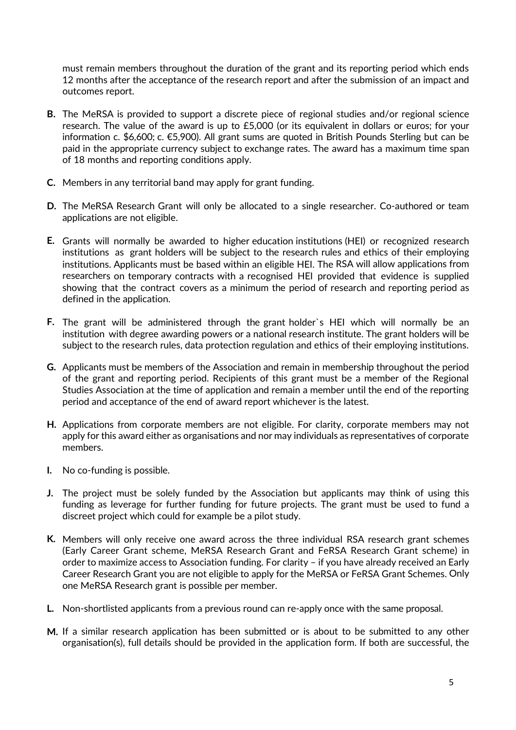must remain members throughout the duration of the grant and its reporting period which ends 12 months after the acceptance of the research report and after the submission of an impact and outcomes report.

- **B.** The MeRSA is provided to support a discrete piece of regional studies and/or regional science research. The value of the award is up to £5,000 (or its equivalent in dollars or euros; for your information c. \$6,600; c. €5,900). All grant sums are quoted in British Pounds Sterling but can be paid in the appropriate currency subject to exchange rates. The award has a maximum time span of 18 months and reporting conditions apply.
- **C.** Members in any territorial band may apply for grant funding.
- **D.** The MeRSA Research Grant will only be allocated to a single researcher. Co-authored or team applications are not eligible.
- **E.** Grants will normally be awarded to higher education institutions (HEI) or recognized research institutions as grant holders will be subject to the research rules and ethics of their employing institutions. Applicants must be based within an eligible HEI. The RSA will allow applications from researchers on temporary contracts with a recognised HEI provided that evidence is supplied showing that the contract covers as a minimum the period of research and reporting period as defined in the application.
- **F.** The grant will be administered through the grant holder`s HEI which will normally be an institution with degree awarding powers or a national research institute. The grant holders will be subject to the research rules, data protection regulation and ethics of their employing institutions.
- **G.** Applicants must be members of the Association and remain in membership throughout the period of the grant and reporting period. Recipients of this grant must be a member of the Regional Studies Association at the time of application and remain a member until the end of the reporting period and acceptance of the end of award report whichever is the latest.
- **H.** Applications from corporate members are not eligible. For clarity, corporate members may not apply for this award either as organisations and nor may individuals as representatives of corporate members.
- **I.** No co-funding is possible.
- **J.** The project must be solely funded by the Association but applicants may think of using this funding as leverage for further funding for future projects. The grant must be used to fund a discreet project which could for example be a pilot study.
- **K.** Members will only receive one award across the three individual RSA research grant schemes (Early Career Grant scheme, MeRSA Research Grant and FeRSA Research Grant scheme) in order to maximize access to Association funding. For clarity – if you have already received an Early Career Research Grant you are not eligible to apply for the MeRSA or FeRSA Grant Schemes. Only one MeRSA Research grant is possible per member.
- **L.** Non-shortlisted applicants from a previous round can re-apply once with the same proposal.
- **M.** If a similar research application has been submitted or is about to be submitted to any other organisation(s), full details should be provided in the application form. If both are successful, the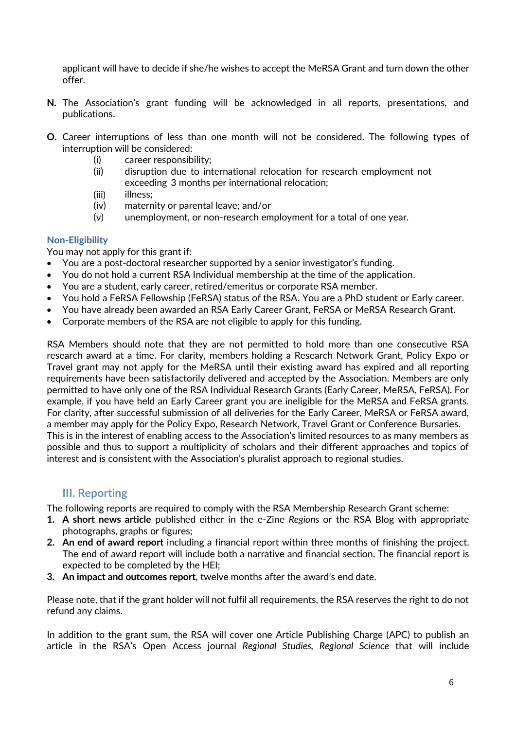applicant will have to decide if she/he wishes to accept the MeRSA Grant and turn down the other offer.

- **N.** The Association's grant funding will be acknowledged in all reports, presentations, and publications.
- **O.** Career interruptions of less than one month will not be considered. The following types of interruption will be considered:
	- (i) career responsibility;
	- (ii) disruption due to international relocation for research employment not exceeding 3 months per international relocation;
	- (iii) illness;
	- (iv) maternity or parental leave; and/or
	- (v) unemployment, or non-research employment for a total of one year.

#### **Non-Eligibility**

You may not apply for this grant if:

- You are a post-doctoral researcher supported by a senior investigator's funding.
- You do not hold a current RSA Individual membership at the time of the application.
- You are a student, early career, retired/emeritus or corporate RSA member.
- You hold a FeRSA Fellowship (FeRSA) status of the RSA. You are a PhD student or Early career.
- You have already been awarded an RSA Early Career Grant, FeRSA or MeRSA Research Grant.
- Corporate members of the RSA are not eligible to apply for this funding.

RSA Members should note that they are not permitted to hold more than one consecutive RSA research award at a time. For clarity, members holding a Research Network Grant, Policy Expo or Travel grant may not apply for the MeRSA until their existing award has expired and all reporting requirements have been satisfactorily delivered and accepted by the Association. Members are only permitted to have only one of the RSA Individual Research Grants (Early Career, MeRSA, FeRSA). For example, if you have held an Early Career grant you are ineligible for the MeRSA and FeRSA grants. For clarity, after successful submission of all deliveries for the Early Career, MeRSA or FeRSA award, a member may apply for the Policy Expo, Research Network, Travel Grant or Conference Bursaries. This is in the interest of enabling access to the Association's limited resources to as many members as possible and thus to support a multiplicity of scholars and their different approaches and topics of interest and is consistent with the Association's pluralist approach to regional studies.

#### <span id="page-5-0"></span>**III. Reporting**

The following reports are required to comply with the RSA Membership Research Grant scheme:

- **1. A short news article** published either in the e-Zine *Regions* or the RSA Blog with appropriate photographs, graphs or figures;
- **2. An end of award report** including a financial report within three months of finishing the project. The end of award report will include both a narrative and financial section. The financial report is expected to be completed by the HEI;
- **3. An impact and outcomes report**, twelve months after the award's end date.

Please note, that if the grant holder will not fulfil all requirements, the RSA reserves the right to do not refund any claims.

In addition to the grant sum, the RSA will cover one Article Publishing Charge (APC) to publish an article in the RSA's Open Access journal *Regional Studies, Regional Science* that will include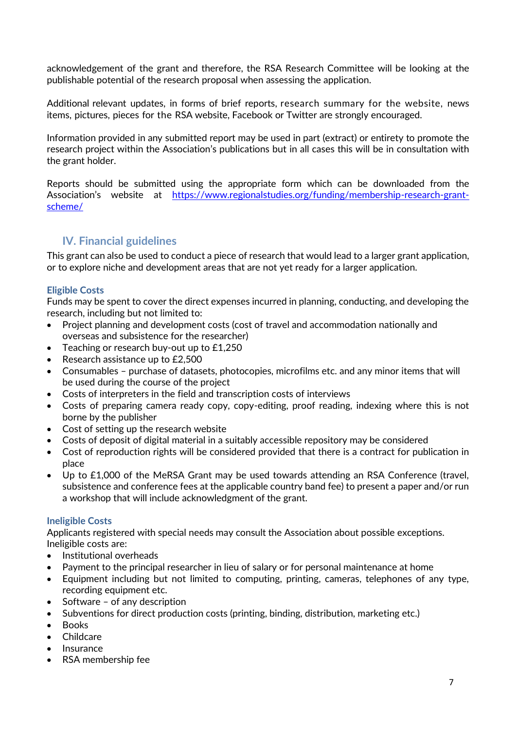acknowledgement of the grant and therefore, the RSA Research Committee will be looking at the publishable potential of the research proposal when assessing the application.

Additional relevant updates, in forms of brief reports, research summary for the website, news items, pictures, pieces for the RSA website, Facebook or Twitter are strongly encouraged.

Information provided in any submitted report may be used in part (extract) or entirety to promote the research project within the Association's publications but in all cases this will be in consultation with the grant holder.

Reports should be submitted using the appropriate form which can be downloaded from the Association's website at [https://www.regionalstudies.org/funding/membership-research-grant](https://www.regionalstudies.org/funding/membership-research-grant-scheme/)[scheme/](https://www.regionalstudies.org/funding/membership-research-grant-scheme/)

#### <span id="page-6-0"></span>**IV. Financial guidelines**

This grant can also be used to conduct a piece of research that would lead to a larger grant application, or to explore niche and development areas that are not yet ready for a larger application.

#### **Eligible Costs**

Funds may be spent to cover the direct expenses incurred in planning, conducting, and developing the research, including but not limited to:

- Project planning and development costs (cost of travel and accommodation nationally and overseas and subsistence for the researcher)
- Teaching or research buy-out up to £1,250
- Research assistance up to £2,500
- Consumables purchase of datasets, photocopies, microfilms etc. and any minor items that will be used during the course of the project
- Costs of interpreters in the field and transcription costs of interviews
- Costs of preparing camera ready copy, copy-editing, proof reading, indexing where this is not borne by the publisher
- Cost of setting up the research website
- Costs of deposit of digital material in a suitably accessible repository may be considered
- Cost of reproduction rights will be considered provided that there is a contract for publication in place
- Up to £1,000 of the MeRSA Grant may be used towards attending an RSA Conference (travel, subsistence and conference fees at the applicable country band fee) to present a paper and/or run a workshop that will include acknowledgment of the grant.

#### **Ineligible Costs**

Applicants registered with special needs may consult the Association about possible exceptions. Ineligible costs are:

- Institutional overheads
- Payment to the principal researcher in lieu of salary or for personal maintenance at home
- Equipment including but not limited to computing, printing, cameras, telephones of any type, recording equipment etc.
- Software of any description
- Subventions for direct production costs (printing, binding, distribution, marketing etc.)
- Books
- Childcare
- Insurance
- RSA membership fee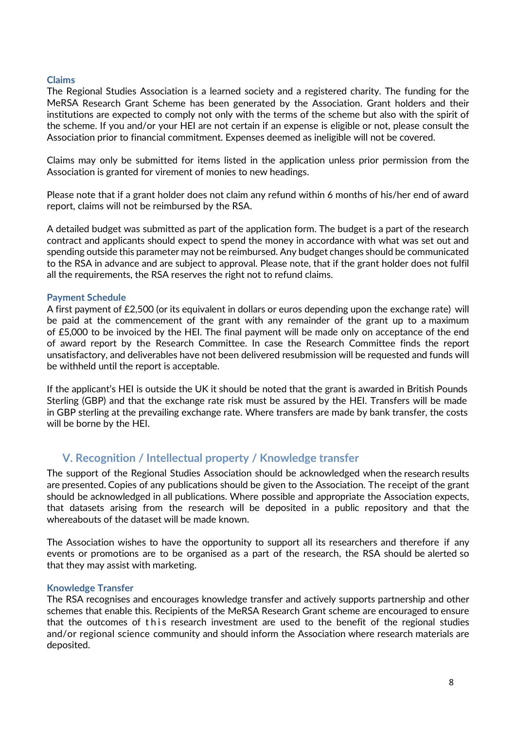#### **Claims**

The Regional Studies Association is a learned society and a registered charity. The funding for the MeRSA Research Grant Scheme has been generated by the Association. Grant holders and their institutions are expected to comply not only with the terms of the scheme but also with the spirit of the scheme. If you and/or your HEI are not certain if an expense is eligible or not, please consult the Association prior to financial commitment. Expenses deemed as ineligible will not be covered.

Claims may only be submitted for items listed in the application unless prior permission from the Association is granted for virement of monies to new headings.

Please note that if a grant holder does not claim any refund within 6 months of his/her end of award report, claims will not be reimbursed by the RSA.

A detailed budget was submitted as part of the application form. The budget is a part of the research contract and applicants should expect to spend the money in accordance with what was set out and spending outside this parameter may not be reimbursed. Any budget changes should be communicated to the RSA in advance and are subject to approval. Please note, that if the grant holder does not fulfil all the requirements, the RSA reserves the right not to refund claims.

#### **Payment Schedule**

A first payment of £2,500 (or its equivalent in dollars or euros depending upon the exchange rate) will be paid at the commencement of the grant with any remainder of the grant up to a maximum of £5,000 to be invoiced by the HEI. The final payment will be made only on acceptance of the end of award report by the Research Committee. In case the Research Committee finds the report unsatisfactory, and deliverables have not been delivered resubmission will be requested and funds will be withheld until the report is acceptable.

If the applicant's HEI is outside the UK it should be noted that the grant is awarded in British Pounds Sterling (GBP) and that the exchange rate risk must be assured by the HEI. Transfers will be made in GBP sterling at the prevailing exchange rate. Where transfers are made by bank transfer, the costs will be borne by the HEI.

#### <span id="page-7-0"></span>**V. Recognition / Intellectual property / Knowledge transfer**

The support of the Regional Studies Association should be acknowledged when the research results are presented. Copies of any publications should be given to the Association. The receipt of the grant should be acknowledged in all publications. Where possible and appropriate the Association expects, that datasets arising from the research will be deposited in a public repository and that the whereabouts of the dataset will be made known.

The Association wishes to have the opportunity to support all its researchers and therefore if any events or promotions are to be organised as a part of the research, the RSA should be alerted so that they may assist with marketing.

#### **Knowledge Transfer**

The RSA recognises and encourages knowledge transfer and actively supports partnership and other schemes that enable this. Recipients of the MeRSA Research Grant scheme are encouraged to ensure that the outcomes of this research investment are used to the benefit of the regional studies and/or regional science community and should inform the Association where research materials are deposited.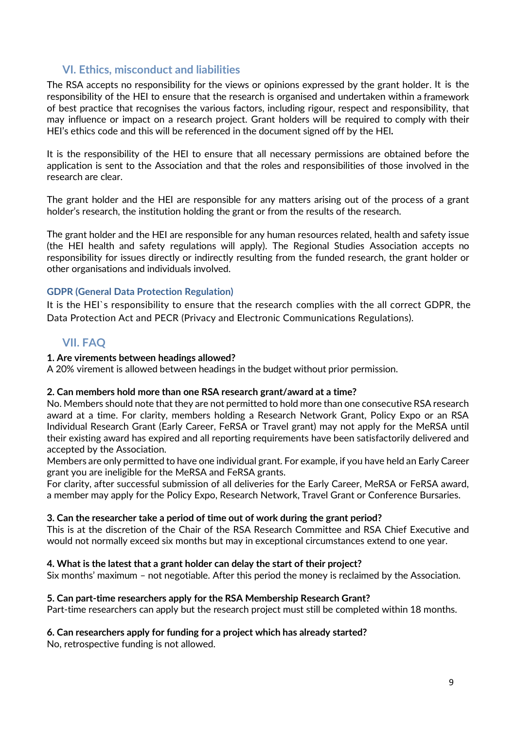#### **VI. Ethics, misconduct and liabilities**

<span id="page-8-0"></span>The RSA accepts no responsibility for the views or opinions expressed by the grant holder. It is the responsibility of the HEI to ensure that the research is organised and undertaken within a framework of best practice that recognises the various factors, including rigour, respect and responsibility, that may influence or impact on a research project. Grant holders will be required to comply with their HEI's ethics code and this will be referenced in the document signed off by the HEI**.**

It is the responsibility of the HEI to ensure that all necessary permissions are obtained before the application is sent to the Association and that the roles and responsibilities of those involved in the research are clear.

The grant holder and the HEI are responsible for any matters arising out of the process of a grant holder's research, the institution holding the grant or from the results of the research.

The grant holder and the HEI are responsible for any human resources related, health and safety issue (the HEI health and safety regulations will apply). The Regional Studies Association accepts no responsibility for issues directly or indirectly resulting from the funded research, the grant holder or other organisations and individuals involved.

#### **GDPR (General Data Protection Regulation)**

It is the HEI`s responsibility to ensure that the research complies with the all correct GDPR, the Data Protection Act and PECR (Privacy and Electronic Communications Regulations).

#### **VII. FAQ**

#### <span id="page-8-1"></span>**1. Are virements between headings allowed?**

A 20% virement is allowed between headings in the budget without prior permission.

#### **2. Can members hold more than one RSA research grant/award at a time?**

No. Members should note that they are not permitted to hold more than one consecutive RSA research award at a time. For clarity, members holding a Research Network Grant, Policy Expo or an RSA Individual Research Grant (Early Career, FeRSA or Travel grant) may not apply for the MeRSA until their existing award has expired and all reporting requirements have been satisfactorily delivered and accepted by the Association.

Members are only permitted to have one individual grant. For example, if you have held an Early Career grant you are ineligible for the MeRSA and FeRSA grants.

For clarity, after successful submission of all deliveries for the Early Career, MeRSA or FeRSA award, a member may apply for the Policy Expo, Research Network, Travel Grant or Conference Bursaries.

#### **3. Can the researcher take a period of time out of work during the grant period?**

This is at the discretion of the Chair of the RSA Research Committee and RSA Chief Executive and would not normally exceed six months but may in exceptional circumstances extend to one year.

#### **4. What is the latest that a grant holder can delay the start of their project?**

Six months' maximum – not negotiable. After this period the money is reclaimed by the Association.

#### **5. Can part-time researchers apply for the RSA Membership Research Grant?**

Part-time researchers can apply but the research project must still be completed within 18 months.

#### **6. Can researchers apply for funding for a project which has already started?**

No, retrospective funding is not allowed.